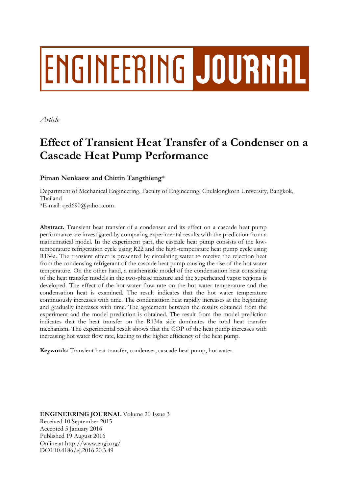# ENGINEERING JOURNAL

*Article*

# **Effect of Transient Heat Transfer of a Condenser on a Cascade Heat Pump Performance**

**Piman Nenkaew and Chittin Tangthieng**\*

Department of Mechanical Engineering, Faculty of Engineering, Chulalongkorn University, Bangkok, Thailand

\*E-mail: qed690@yahoo.com

**Abstract.** Transient heat transfer of a condenser and its effect on a cascade heat pump performance are investigated by comparing experimental results with the prediction from a mathematical model. In the experiment part, the cascade heat pump consists of the lowtemperature refrigeration cycle using R22 and the high-temperature heat pump cycle using R134a. The transient effect is presented by circulating water to receive the rejection heat from the condensing refrigerant of the cascade heat pump causing the rise of the hot water temperature. On the other hand, a mathematic model of the condensation heat consisting of the heat transfer models in the two-phase mixture and the superheated vapor regions is developed. The effect of the hot water flow rate on the hot water temperature and the condensation heat is examined. The result indicates that the hot water temperature continuously increases with time. The condensation heat rapidly increases at the beginning and gradually increases with time. The agreement between the results obtained from the experiment and the model prediction is obtained. The result from the model prediction indicates that the heat transfer on the R134a side dominates the total heat transfer mechanism. The experimental result shows that the COP of the heat pump increases with increasing hot water flow rate, leading to the higher efficiency of the heat pump.

**Keywords:** Transient heat transfer, condenser, cascade heat pump, hot water.

**ENGINEERING JOURNAL** Volume 20 Issue 3 Received 10 September 2015 Accepted 5 January 2016 Published 19 August 2016 Online at http://www.engj.org/ DOI:10.4186/ej.2016.20.3.49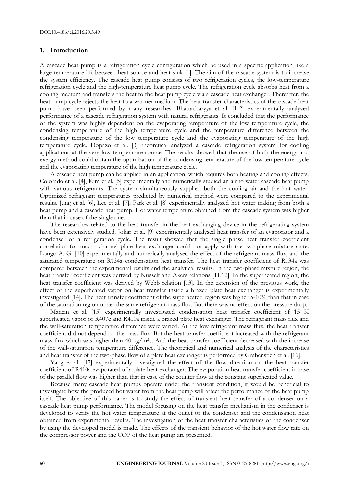#### **1. Introduction**

A cascade heat pump is a refrigeration cycle configuration which be used in a specific application like a large temperature lift between heat source and heat sink [1]. The aim of the cascade system is to increase the system efficiency. The cascade heat pump consists of two refrigeration cycles, the low-temperature refrigeration cycle and the high-temperature heat pump cycle. The refrigeration cycle absorbs heat from a cooling medium and transfers the heat to the heat pump cycle via a cascade heat exchanger. Thereafter, the heat pump cycle rejects the heat to a warmer medium. The heat transfer characteristics of the cascade heat pump have been performed by many researches. Bhattacharyya et al. [1-2] experimentally analyzed performance of a cascade refrigeration system with natural refrigerants. It concluded that the performance of the system was highly dependent on the evaporating temperature of the low temperature cycle, the condensing temperature of the high temperature cycle and the temperature difference between the condensing temperature of the low temperature cycle and the evaporating temperature of the high temperature cycle. Dopazo et al. [3] theoretical analyzed a cascade refrigeration system for cooling applications at the very low temperature source. The results showed that the use of both the energy and exergy method could obtain the optimization of the condensing temperature of the low temperature cycle and the evaporating temperature of the high temperature cycle.

A cascade heat pump can be applied in an application, which requires both heating and cooling effects. Colorado et al. [4], Kim et al. [5] experimentally and numerically studied an air to water cascade heat pump with various refrigerants. The system simultaneously supplied both the cooling air and the hot water. Optimized refrigerant temperatures predicted by numerical method were compared to the experimental results. Jung et al. [6], Lee et al. [7], Park et al. [8] experimentally analyzed hot water making from both a heat pump and a cascade heat pump. Hot water temperature obtained from the cascade system was higher than that in case of the single one.

The researches related to the heat transfer in the heat-exchanging device in the refrigerating system have been extensively studied. Jokar et al. [9] experimentally analysed heat transfer of an evaporator and a condenser of a refrigeration cycle. The result showed that the single phase heat transfer coefficient correlation for macro channel plate heat exchanger could not apply with the two-phase mixture state. Longo A. G. [10] experimentally and numerically analysed the effect of the refrigerant mass flux, and the saturated temperature on R134a condensation heat transfer. The heat transfer coefficient of R134a was compared between the experimental results and the analytical results. In the two-phase mixture region, the heat transfer coefficient was derived by Nusselt and Akers relations [11,12]. In the superheated region, the heat transfer coefficient was derived by Webb relation [13]. In the extension of the previous work, the effect of the superheated vapor on heat transfer inside a brazed plate heat exchanger is experimentally investigated [14]. The heat transfer coefficient of the superheated region was higher 5-10% than that in case of the saturation region under the same refrigerant mass flux. But there was no effect on the pressure drop.

Mancin et al. [15] experimentally investigated condensation heat transfer coefficient of 15 K superheated vapor of R407c and R410a inside a brazed plate heat exchanger. The refrigerant mass flux and the wall-saturation temperature difference were varied. At the low refrigerant mass flux, the heat transfer coefficient did not depend on the mass flux. But the heat transfer coefficient increased with the refrigerant mass flux which was higher than 40 kg/m2s. And the heat transfer coefficient decreased with the increase of the wall-saturation temperature difference. The theoretical and numerical analysis of the characteristics and heat transfer of the two-phase flow of a plate heat exchanger is performed by Grabenstien et al. [16].

Yang et al. [17] experimentally investigated the effect of the flow direction on the heat transfer coefficient of R410a evaporated of a plate heat exchanger. The evaporation heat transfer coefficient in case of the parallel flow was higher than that in case of the counter flow at the constant superheated value.

Because many cascade heat pumps operate under the transient condition, it would be beneficial to investigate how the produced hot water from the heat pump will affect the performance of the heat pump itself. The objective of this paper is to study the effect of transient heat transfer of a condenser on a cascade heat pump performance. The model focusing on the heat transfer mechanism in the condenser is developed to verify the hot water temperature at the outlet of the condenser and the condensation heat obtained from experimental results. The investigation of the heat transfer characteristics of the condenser by using the developed model is made. The effects of the transient behavior of the hot water flow rate on the compressor power and the COP of the heat pump are presented.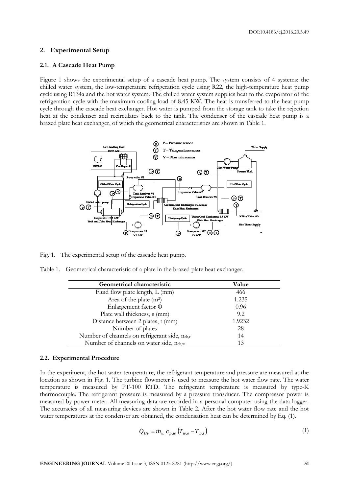DOI:10.4186/ej.2016.20.3.49

#### **2. Experimental Setup**

#### **2.1. A Cascade Heat Pump**

Figure 1 shows the experimental setup of a cascade heat pump. The system consists of 4 systems: the chilled water system, the low-temperature refrigeration cycle using R22, the high-temperature heat pump cycle using R134a and the hot water system. The chilled water system supplies heat to the evaporator of the refrigeration cycle with the maximum cooling load of 8.45 KW. The heat is transferred to the heat pump cycle through the cascade heat exchanger. Hot water is pumped from the storage tank to take the rejection heat at the condenser and recirculates back to the tank. The condenser of the cascade heat pump is a brazed plate heat exchanger, of which the geometrical characteristics are shown in Table 1.



Fig. 1. The experimental setup of the cascade heat pump.

Table 1. Geometrical characteristic of a plate in the brazed plate heat exchanger.

| Geometrical characteristic                                | Value  |
|-----------------------------------------------------------|--------|
| Fluid flow plate length, L (mm)                           | 466    |
| Area of the plate $(m^2)$                                 | 1.235  |
| Enlargement factor $\Phi$                                 | 0.96   |
| Plate wall thickness, s (mm)                              | 9.2.   |
| Distance between 2 plates, t (mm)                         | 1.9232 |
| Number of plates                                          | 28     |
| Number of channels on refrigerant side, n <sub>ch,r</sub> | 14     |
| Number of channels on water side, n <sub>ch,w</sub>       | 13     |

#### **2.2. Experimental Procedure**

In the experiment, the hot water temperature, the refrigerant temperature and pressure are measured at the location as shown in Fig. 1. The turbine flowmeter is used to measure the hot water flow rate. The water temperature is measured by PT-100 RTD. The refrigerant temperature is measured by type-K thermocouple. The refrigerant pressure is measured by a pressure transducer. The compressor power is measured by power meter. All measuring data are recorded in a personal computer using the data logger. The accuracies of all measuring devices are shown in Table 2. After the hot water flow rate and the hot water temperatures at the condenser are obtained, the condensation heat can be determined by Eq. (1).

$$
\dot{Q}_{HP} = \dot{m}_w \ c_{p,w} \left( T_{w,o} - T_{w,i} \right) \tag{1}
$$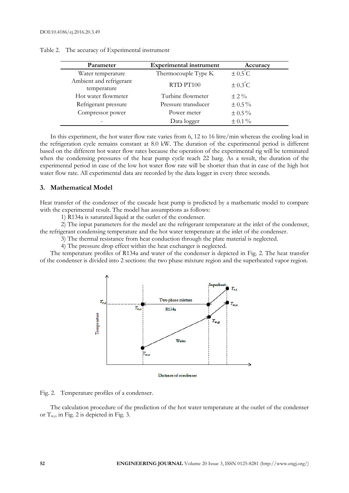| Parameter                              | <b>Experimental instrument</b> | Accuracy            |
|----------------------------------------|--------------------------------|---------------------|
| Water temperature                      | Thermocouple Type K            | $\pm 0.5^{\circ}$ C |
| Ambient and refrigerant<br>temperature | RTD PT100                      | $\pm 0.3^{\circ}$ C |
| Hot water flowmeter                    | Turbine flowmeter              | $\pm$ 2 %           |
| Refrigerant pressure                   | Pressure transducer            | $\pm 0.5\%$         |
| Compressor power                       | Power meter                    | $\pm 0.5 \%$        |
|                                        | Data logger                    | $\pm$ 0.1%          |

Table 2. The accuracy of Experimental instrument

In this experiment, the hot water flow rate varies from 6, 12 to 16 litre/min whereas the cooling load in the refrigeration cycle remains constant at 8.0 kW. The duration of the experimental period is different based on the different hot water flow rates because the operation of the experimental rig will be terminated when the condensing pressures of the heat pump cycle reach 22 barg. As a result, the duration of the experimental period in case of the low hot water flow rate will be shorter than that in case of the high hot water flow rate. All experimental data are recorded by the data logger in every three seconds.

#### **3. Mathematical Model**

Heat transfer of the condenser of the cascade heat pump is predicted by a mathematic model to compare with the experimental result. The model has assumptions as follows:

1) R134a is saturated liquid at the outlet of the condenser.

2) The input parameters for the model are the refrigerant temperature at the inlet of the condenser, the refrigerant condensing temperature and the hot water temperature at the inlet of the condenser.

3) The thermal resistance from heat conduction through the plate material is neglected.

4) The pressure drop effect within the heat exchanger is neglected.

The temperature profiles of R134a and water of the condenser is depicted in Fig. 2. The heat transfer of the condenser is divided into 2 sections: the two phase mixture region and the superheated vapor region.



Distance of condenser

Fig. 2. Temperature profiles of a condenser.

The calculation procedure of the prediction of the hot water temperature at the outlet of the condenser or  $T_{w,0}$  in Fig. 2 is depicted in Fig. 3.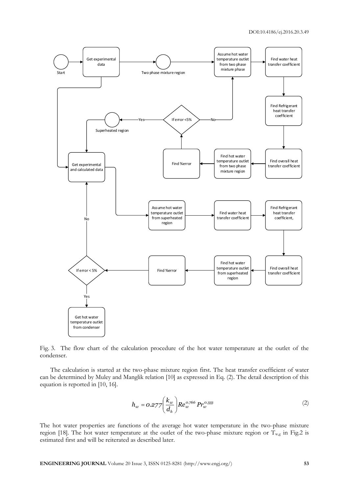

Fig. 3. The flow chart of the calculation procedure of the hot water temperature at the outlet of the condenser.

The calculation is started at the two-phase mixture region first. The heat transfer coefficient of water can be determined by Muley and Manglik relation [10] as expressed in Eq. (2). The detail description of this equation is reported in [10, 16].

$$
h_w = 0.277 \left(\frac{k_w}{d_h}\right) Re_w^{0.766} Pr_w^{0.333}
$$
 (2)

The hot water properties are functions of the average hot water temperature in the two-phase mixture region [18]. The hot water temperature at the outlet of the two-phase mixture region or  $T_{wg}$  in Fig.2 is estimated first and will be reiterated as described later.

**ENGINEERING JOURNAL** Volume 20 Issue 3, ISSN 0125-8281 (http://www.engj.org/) **53**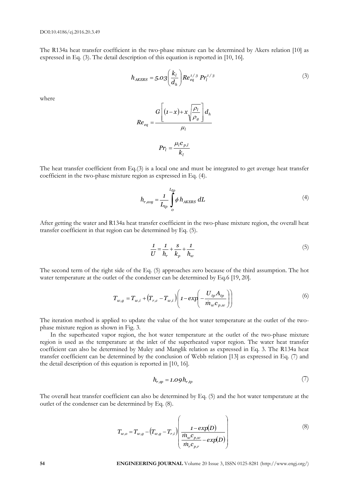The R134a heat transfer coefficient in the two-phase mixture can be determined by Akers relation [10] as expressed in Eq. (3). The detail description of this equation is reported in [10, 16].

$$
h_{AKERS} = 5.03 \left(\frac{k_l}{d_h}\right) Re_{eq}^{1/3} Pr_l^{1/3}
$$
 (3)

where

$$
Re_{eq} = \frac{G\left[ (1-x) + x\sqrt{\frac{\rho_l}{\rho_g}} \right] d_h}{\mu_l}
$$

$$
Pr_l = \frac{\mu_l c_{p,l}}{k_l}
$$

The heat transfer coefficient from Eq.(3) is a local one and must be integrated to get average heat transfer coefficient in the two-phase mixture region as expressed in Eq. (4).

$$
h_{r,avg} = \frac{1}{L_{tp}} \int_{o}^{L_{tp}} \phi \, h_{AKERS} \, dL \tag{4}
$$

After getting the water and R134a heat transfer coefficient in the two-phase mixture region, the overall heat transfer coefficient in that region can be determined by Eq. (5).

$$
\frac{1}{U} = \frac{1}{h_r} + \frac{s}{k_p} + \frac{1}{h_w}
$$
\n(5)

The second term of the right side of the Eq. (5) approaches zero because of the third assumption. The hot water temperature at the outlet of the condenser can be determined by Eq.6 [19, 20].

$$
T_{w,g} = T_{w,i} + (T_{r,c} - T_{w,i}) \left( 1 - exp\left( -\frac{U_{tp} A_{tp}}{\dot{m}_w c_{p,w}} \right) \right)
$$
 (6)

The iteration method is applied to update the value of the hot water temperature at the outlet of the twophase mixture region as shown in Fig. 3.

In the superheated vapor region, the hot water temperature at the outlet of the two-phase mixture region is used as the temperature at the inlet of the superheated vapor region. The water heat transfer coefficient can also be determined by Muley and Manglik relation as expressed in Eq. 3. The R134a heat transfer coefficient can be determined by the conclusion of Webb relation [13] as expressed in Eq. (7) and the detail description of this equation is reported in [10, 16].

$$
h_{r,sp} = 1.09 h_{r,tp} \tag{7}
$$

The overall heat transfer coefficient can also be determined by Eq. (5) and the hot water temperature at the outlet of the condenser can be determined by Eq. (8).

$$
T_{w,o} = T_{w,g} - (T_{w,g} - T_{r,i}) \left( \frac{1 - exp(D)}{\frac{\dot{m}_w c_{p,w}}{\dot{m}_r c_{p,r}} - exp(D)} \right)
$$
(8)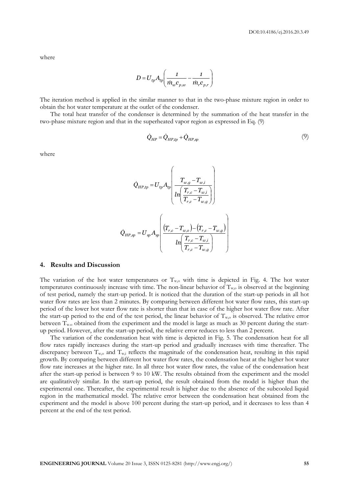where

$$
D = U_{tp} A_{tp} \left( \frac{1}{\dot{m}_w c_{p,w}} - \frac{1}{\dot{m}_r c_{p,r}} \right)
$$

The iteration method is applied in the similar manner to that in the two-phase mixture region in order to obtain the hot water temperature at the outlet of the condenser.

The total heat transfer of the condenser is determined by the summation of the heat transfer in the two-phase mixture region and that in the superheated vapor region as expressed in Eq. (9)

$$
\dot{Q}_{HP} = \dot{Q}_{HP,tp} + \dot{Q}_{HP,sp} \tag{9}
$$

where

$$
\begin{aligned} \dot{Q}_{HP,tp} = U_{tp} A_{tp} \left( \frac{T_{w,g} - T_{w,i}}{ln \left( \frac{T_{r,c} - T_{w,i}}{T_{r,c} - T_{w,g}} \right)} \right) \\ \dot{Q}_{HP,sp} = U_{sp} A_{sp} \left( \frac{(T_{r,c} - T_{w,o}) - (T_{r,c} - T_{w,g})}{ln \left( \frac{T_{r,c} - T_{w,i}}{T_{r,c} - T_{w,g}} \right)} \right) \end{aligned}
$$

#### **4. Results and Discussion**

The variation of the hot water temperatures or  $T_{w,o}$  with time is depicted in Fig. 4. The hot water temperatures continuously increase with time. The non-linear behavior of  $T_{w,o}$  is observed at the beginning of test period, namely the start-up period. It is noticed that the duration of the start-up periods in all hot water flow rates are less than 2 minutes. By comparing between different hot water flow rates, this start-up period of the lower hot water flow rate is shorter than that in case of the higher hot water flow rate. After the start-up period to the end of the test period, the linear behavior of  $T_{w,o}$  is observed. The relative error between  $T_{wo}$  obtained from the experiment and the model is large as much as 30 percent during the startup period. However, after the start-up period, the relative error reduces to less than 2 percent.

The variation of the condensation heat with time is depicted in Fig. 5. The condensation heat for all flow rates rapidly increases during the start-up period and gradually increases with time thereafter. The discrepancy between  $T_{w,o}$  and  $T_{w,i}$  reflects the magnitude of the condensation heat, resulting in this rapid growth. By comparing between different hot water flow rates, the condensation heat at the higher hot water flow rate increases at the higher rate. In all three hot water flow rates, the value of the condensation heat after the start-up period is between 9 to 10 kW. The results obtained from the experiment and the model are qualitatively similar. In the start-up period, the result obtained from the model is higher than the experimental one. Thereafter, the experimental result is higher due to the absence of the subcooled liquid region in the mathematical model. The relative error between the condensation heat obtained from the experiment and the model is above 100 percent during the start-up period, and it decreases to less than 4 percent at the end of the test period.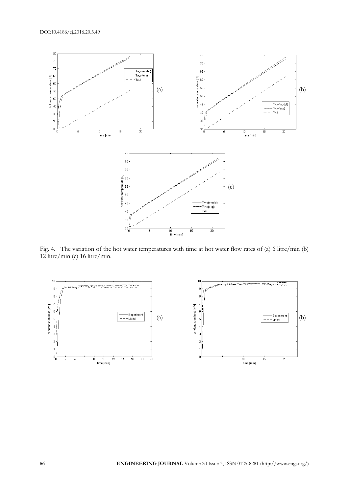

Fig. 4. The variation of the hot water temperatures with time at hot water flow rates of (a) 6 litre/min (b) 12 litre/min (c) 16 litre/min.

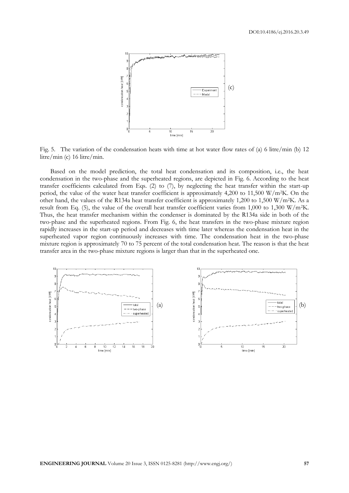

Fig. 5. The variation of the condensation heats with time at hot water flow rates of (a) 6 litre/min (b) 12 litre/min (c) 16 litre/min.

Based on the model prediction, the total heat condensation and its composition, i.e., the heat condensation in the two-phase and the superheated regions, are depicted in Fig. 6. According to the heat transfer coefficients calculated from Eqs. (2) to (7), by neglecting the heat transfer within the start-up period, the value of the water heat transfer coefficient is approximately 4,200 to 11,500 W/m2K. On the other hand, the values of the R134a heat transfer coefficient is approximately 1,200 to 1,500 W/m2K. As a result from Eq. (5), the value of the overall heat transfer coefficient varies from 1,000 to 1,300 W/m2K. Thus, the heat transfer mechanism within the condenser is dominated by the R134a side in both of the two-phase and the superheated regions. From Fig. 6, the heat transfers in the two-phase mixture region rapidly increases in the start-up period and decreases with time later whereas the condensation heat in the superheated vapor region continuously increases with time. The condensation heat in the two-phase mixture region is approximately 70 to 75 percent of the total condensation heat. The reason is that the heat transfer area in the two-phase mixture regions is larger than that in the superheated one.

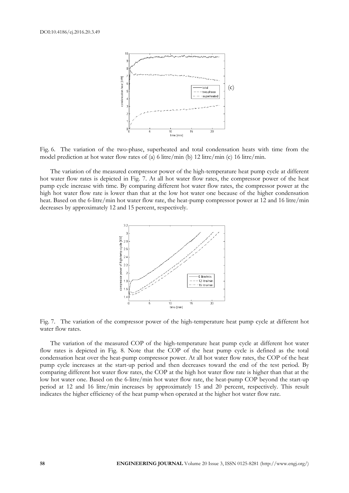

Fig. 6. The variation of the two-phase, superheated and total condensation heats with time from the model prediction at hot water flow rates of (a) 6 litre/min (b) 12 litre/min (c) 16 litre/min.

The variation of the measured compressor power of the high-temperature heat pump cycle at different hot water flow rates is depicted in Fig. 7. At all hot water flow rates, the compressor power of the heat pump cycle increase with time. By comparing different hot water flow rates, the compressor power at the high hot water flow rate is lower than that at the low hot water one because of the higher condensation heat. Based on the 6-litre/min hot water flow rate, the heat-pump compressor power at 12 and 16 litre/min decreases by approximately 12 and 15 percent, respectively.



Fig. 7. The variation of the compressor power of the high-temperature heat pump cycle at different hot water flow rates.

The variation of the measured COP of the high-temperature heat pump cycle at different hot water flow rates is depicted in Fig. 8. Note that the COP of the heat pump cycle is defined as the total condensation heat over the heat-pump compressor power. At all hot water flow rates, the COP of the heat pump cycle increases at the start-up period and then decreases toward the end of the test period. By comparing different hot water flow rates, the COP at the high hot water flow rate is higher than that at the low hot water one. Based on the 6-litre/min hot water flow rate, the heat-pump COP beyond the start-up period at 12 and 16 litre/min increases by approximately 15 and 20 percent, respectively. This result indicates the higher efficiency of the heat pump when operated at the higher hot water flow rate.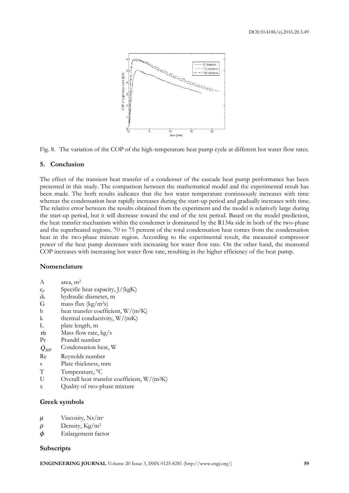

Fig. 8. The variation of the COP of the high-temperature heat pump cycle at different hot water flow rates.

## **5. Conclusion**

The effect of the transient heat transfer of a condenser of the cascade heat pump performance has been presented in this study. The comparison between the mathematical model and the experimental result has been made. The both results indicates that the hot water temperature continuously increases with time whereas the condensation heat rapidly increases during the start-up period and gradually increases with time. The relative error between the results obtained from the experiment and the model is relatively large during the start-up period, but it will decrease toward the end of the test period. Based on the model prediction, the heat transfer mechanism within the condenser is dominated by the R134a side in both of the two-phase and the superheated regions. 70 to 75 percent of the total condensation heat comes from the condensation heat in the two-phase mixture region. According to the experimental result, the measured compressor power of the heat pump decreases with increasing hot water flow rate. On the other hand, the measured COP increases with increasing hot water flow rate, resulting in the higher efficiency of the heat pump.

# **Nomenclature**

- A area, m<sup>2</sup>
- $c_p$  Specific heat capacity,  $J/(kgK)$
- d<sup>h</sup> hydraulic diameter, m
- G mass flux  $(kg/m^2s)$
- h heat transfer coefficient, W/(m<sup>2</sup>K)
- k thermal conductivity,  $W/(mK)$
- L plate length, m
- *m* Mass flow rate, kg/s
- Pr Prandtl number
- $\dot{Q}_{HP}$ Condensation heat, W
- Re Reynolds number
- s Plate thickness, mm
- T Temperature, °C
- U Overall heat transfer coefficient, W/(m<sup>2</sup>K)
- x Quality of two-phase mixture

### **Greek symbols**

- $\mu$  Viscosity, Ns/m<sup>s</sup>
- $\rho$  Density, Kg/m<sup>2</sup>
- $\phi$  Enlargement factor

#### **Subscripts**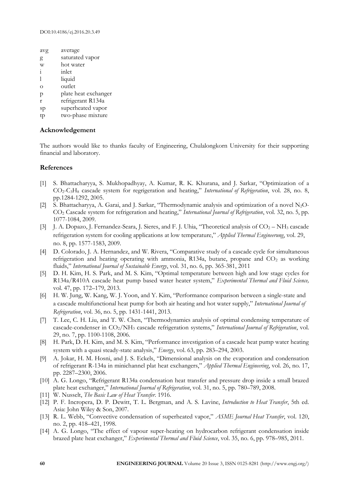- avg average
- g saturated vapor
- w hot water
- i inlet
- l liquid
- o outlet
- p plate heat exchanger
- r refrigerant R134a
- sp superheated vapor
- tp two-phase mixture

# **Acknowledgement**

The authors would like to thanks faculty of Engineering, Chulalongkorn University for their supporting financial and laboratory.

# **References**

- [1] S. Bhattacharyya, S. Mukhopadhyay, A. Kumar, R. K. Khurana, and J. Sarkar, "Optimization of a CO2-C3H<sup>8</sup> cascade system for regrigeration and heating," *International of Refrigeration*, vol. 28, no. 8, pp.1284-1292, 2005.
- [2] S. Bhattacharyya, A. Garai, and J. Sarkar, "Thermodynamic analysis and optimization of a novel  $N_2O-$ CO<sup>2</sup> Cascade system for refrigeration and heating," *International Journal of Refrigeration*, vol. 32, no. 5, pp. 1077-1084, 2009.
- [3] J. A. Dopazo, J. Fernandez-Seara, J. Sieres, and F. J. Uhia, "Theoretical analysis of CO<sub>2</sub> NH<sub>3</sub> cascade refrigeration system for cooling applications at low temperature," *Applied Thermal Engineerung*, vol. 29, no. 8, pp. 1577-1583, 2009.
- [4] D. Colorado, J. A. Hernandez, and W. Rivera, "Comparative study of a cascade cycle for simultaneous refrigeration and heating operating with ammonia, R134a, butane, propane and  $CO<sub>2</sub>$  as working fluids," *International Journal of Sustainable Energy*, vol. 31, no. 6, pp. 365-381, 2011
- [5] D. H. Kim, H. S. Park, and M. S. Kim, "Optimal temperature between high and low stage cycles for R134a/R410A cascade heat pump based water heater system," *Experimental Thermal and Fluid Science,*  vol. 47, pp. 172–179, 2013.
- [6] H. W. Jung, W. Kang, W. J. Yoon, and Y. Kim, "Performance comparison between a single-state and a cascade multifunctional heat pump for both air heating and hot water supply," *International Journal of Refrigeration*, vol. 36, no. 5, pp. 1431-1441, 2013.
- [7] T. Lee, C. H. Liu, and T. W. Chen, "Thermodynamics analysis of optimal condensing temperature of cascade-condenser in CO2/NH<sup>3</sup> cascade refrigeration systems," *International Journal of Refrigeration*, vol. 29, no. 7, pp. 1100-1108, 2006.
- [8] H. Park, D. H. Kim, and M. S. Kim, "Performance investigation of a cascade heat pump water heating system with a quasi steady-state analysis," *Energy*, vol. 63, pp. 283–294, 2003.
- [9] A. Jokar, H. M. Hosni, and J. S. Eckels, "Dimensional analysis on the evaporation and condensation of refrigerant R-134a in minichannel plat heat exchangers," *Applied Thermal Engineering*, vol. 26, no. 17, pp. 2287–2300, 2006.
- [10] A. G. Longo, "Refrigerant R134a condensation heat transfer and pressure drop inside a small brazed plate heat exchanger," *International Journal of Refrigeration*, vol. 31, no. 5, pp. 780–789, 2008.
- [11] W. Nusselt, *The Basic Law of Heat Transfer*. 1916.
- [12] P. F. Incropera, D. P. Dewitt, T. L. Bergman, and A. S. Lavine, *Introduction to Heat Transfer*, 5th ed. Asia: John Wiley & Son, 2007.
- [13] R. L. Webb, "Convective condensation of superheated vapor," *ASME Journal Heat Transfer*, vol. 120, no. 2, pp. 418–421, 1998.
- [14] A. G. Longo, "The effect of vapour super-heating on hydrocarbon refrigerant condensation inside brazed plate heat exchanger," *Experimental Thermal and Fluid Science*, vol. 35, no. 6, pp. 978–985, 2011.